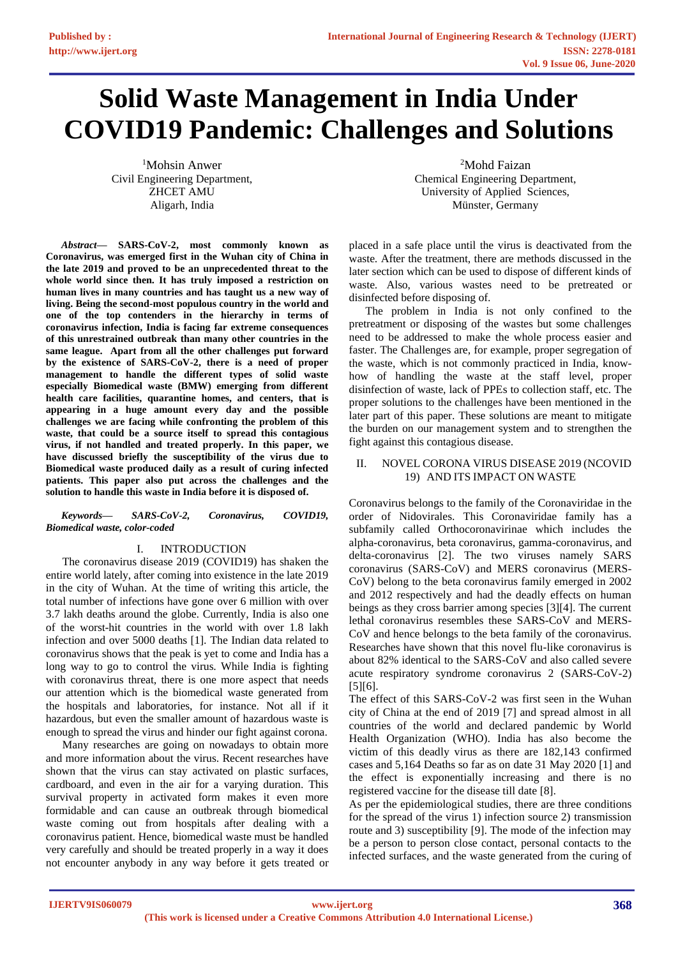# **Solid Waste Management in India Under COVID19 Pandemic: Challenges and Solutions**

<sup>1</sup>Mohsin Anwer Civil Engineering Department, ZHCET AMU Aligarh, India

*Abstract***— SARS-CoV-2, most commonly known as Coronavirus, was emerged first in the Wuhan city of China in the late 2019 and proved to be an unprecedented threat to the whole world since then. It has truly imposed a restriction on human lives in many countries and has taught us a new way of living. Being the second-most populous country in the world and one of the top contenders in the hierarchy in terms of coronavirus infection, India is facing far extreme consequences of this unrestrained outbreak than many other countries in the same league. Apart from all the other challenges put forward by the existence of SARS-CoV-2, there is a need of proper management to handle the different types of solid waste especially Biomedical waste (BMW) emerging from different health care facilities, quarantine homes, and centers, that is appearing in a huge amount every day and the possible challenges we are facing while confronting the problem of this waste, that could be a source itself to spread this contagious virus, if not handled and treated properly. In this paper, we have discussed briefly the susceptibility of the virus due to Biomedical waste produced daily as a result of curing infected patients. This paper also put across the challenges and the solution to handle this waste in India before it is disposed of.**

#### *Keywords— SARS-CoV-2, Coronavirus, COVID19, Biomedical waste, color-coded*

## I. INTRODUCTION

The coronavirus disease 2019 (COVID19) has shaken the entire world lately, after coming into existence in the late 2019 in the city of Wuhan. At the time of writing this article, the total number of infections have gone over 6 million with over 3.7 lakh deaths around the globe. Currently, India is also one of the worst-hit countries in the world with over 1.8 lakh infection and over 5000 deaths [1]. The Indian data related to coronavirus shows that the peak is yet to come and India has a long way to go to control the virus. While India is fighting with coronavirus threat, there is one more aspect that needs our attention which is the biomedical waste generated from the hospitals and laboratories, for instance. Not all if it hazardous, but even the smaller amount of hazardous waste is enough to spread the virus and hinder our fight against corona.

Many researches are going on nowadays to obtain more and more information about the virus. Recent researches have shown that the virus can stay activated on plastic surfaces, cardboard, and even in the air for a varying duration. This survival property in activated form makes it even more formidable and can cause an outbreak through biomedical waste coming out from hospitals after dealing with a coronavirus patient. Hence, biomedical waste must be handled very carefully and should be treated properly in a way it does not encounter anybody in any way before it gets treated or

<sup>2</sup>Mohd Faizan Chemical Engineering Department, University of Applied Sciences, Münster, Germany

placed in a safe place until the virus is deactivated from the waste. After the treatment, there are methods discussed in the later section which can be used to dispose of different kinds of waste. Also, various wastes need to be pretreated or disinfected before disposing of.

The problem in India is not only confined to the pretreatment or disposing of the wastes but some challenges need to be addressed to make the whole process easier and faster. The Challenges are, for example, proper segregation of the waste, which is not commonly practiced in India, knowhow of handling the waste at the staff level, proper disinfection of waste, lack of PPEs to collection staff, etc. The proper solutions to the challenges have been mentioned in the later part of this paper. These solutions are meant to mitigate the burden on our management system and to strengthen the fight against this contagious disease.

## II. NOVEL CORONA VIRUS DISEASE 2019 (NCOVID 19) AND ITS IMPACT ON WASTE

Coronavirus belongs to the family of the Coronaviridae in the order of Nidovirales. This Coronaviridae family has a subfamily called Orthocoronavirinae which includes the alpha-coronavirus, beta coronavirus, gamma-coronavirus, and delta-coronavirus [2]. The two viruses namely SARS coronavirus (SARS-CoV) and MERS coronavirus (MERS-CoV) belong to the beta coronavirus family emerged in 2002 and 2012 respectively and had the deadly effects on human beings as they cross barrier among species [3][4]. The current lethal coronavirus resembles these SARS-CoV and MERS-CoV and hence belongs to the beta family of the coronavirus. Researches have shown that this novel flu-like coronavirus is about 82% identical to the SARS-CoV and also called severe acute respiratory syndrome coronavirus 2 (SARS-CoV-2) [5][6].

The effect of this SARS-CoV-2 was first seen in the Wuhan city of China at the end of 2019 [7] and spread almost in all countries of the world and declared pandemic by World Health Organization (WHO). India has also become the victim of this deadly virus as there are 182,143 confirmed cases and 5,164 Deaths so far as on date 31 May 2020 [1] and the effect is exponentially increasing and there is no registered vaccine for the disease till date [8].

As per the epidemiological studies, there are three conditions for the spread of the virus 1) infection source 2) transmission route and 3) susceptibility [9]. The mode of the infection may be a person to person close contact, personal contacts to the infected surfaces, and the waste generated from the curing of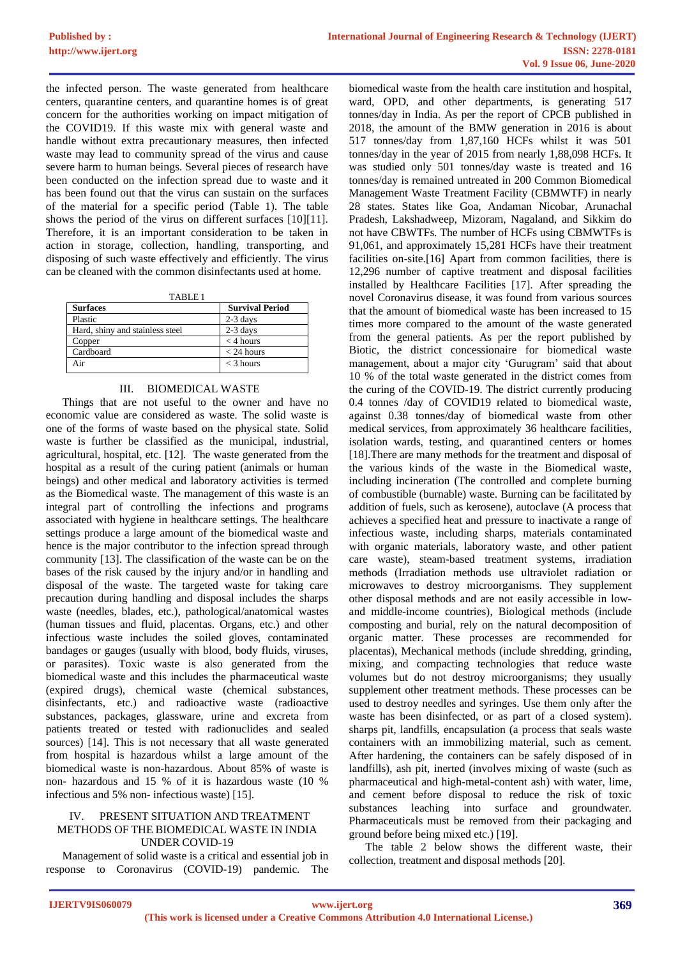the infected person. The waste generated from healthcare centers, quarantine centers, and quarantine homes is of great concern for the authorities working on impact mitigation of the COVID19. If this waste mix with general waste and handle without extra precautionary measures, then infected waste may lead to community spread of the virus and cause severe harm to human beings. Several pieces of research have been conducted on the infection spread due to waste and it has been found out that the virus can sustain on the surfaces of the material for a specific period (Table 1). The table shows the period of the virus on different surfaces [10][11]. Therefore, it is an important consideration to be taken in action in storage, collection, handling, transporting, and disposing of such waste effectively and efficiently. The virus can be cleaned with the common disinfectants used at home.

| <b>Surfaces</b>                 | <b>Survival Period</b> |  |  |
|---------------------------------|------------------------|--|--|
| Plastic                         | $2-3$ days             |  |  |
| Hard, shiny and stainless steel | $2-3$ days             |  |  |
| Copper                          | $<$ 4 hours            |  |  |
| Cardboard                       | $<$ 24 hours           |  |  |
| Air                             | $<$ 3 hours            |  |  |

#### III. BIOMEDICAL WASTE

Things that are not useful to the owner and have no economic value are considered as waste. The solid waste is one of the forms of waste based on the physical state. Solid waste is further be classified as the municipal, industrial, agricultural, hospital, etc. [12]. The waste generated from the hospital as a result of the curing patient (animals or human beings) and other medical and laboratory activities is termed as the Biomedical waste. The management of this waste is an integral part of controlling the infections and programs associated with hygiene in healthcare settings. The healthcare settings produce a large amount of the biomedical waste and hence is the major contributor to the infection spread through community [13]. The classification of the waste can be on the bases of the risk caused by the injury and/or in handling and disposal of the waste. The targeted waste for taking care precaution during handling and disposal includes the sharps waste (needles, blades, etc.), pathological/anatomical wastes (human tissues and fluid, placentas. Organs, etc.) and other infectious waste includes the soiled gloves, contaminated bandages or gauges (usually with blood, body fluids, viruses, or parasites). Toxic waste is also generated from the biomedical waste and this includes the pharmaceutical waste (expired drugs), chemical waste (chemical substances, disinfectants, etc.) and radioactive waste (radioactive substances, packages, glassware, urine and excreta from patients treated or tested with radionuclides and sealed sources) [14]. This is not necessary that all waste generated from hospital is hazardous whilst a large amount of the biomedical waste is non-hazardous. About 85% of waste is non- hazardous and 15 % of it is hazardous waste (10 % infectious and 5% non- infectious waste) [15].

## PRESENT SITUATION AND TREATMENT METHODS OF THE BIOMEDICAL WASTE IN INDIA UNDER COVID-19

Management of solid waste is a critical and essential job in response to Coronavirus (COVID-19) pandemic. The

biomedical waste from the health care institution and hospital, ward, OPD, and other departments, is generating 517 tonnes/day in India. As per the report of CPCB published in 2018, the amount of the BMW generation in 2016 is about 517 tonnes/day from 1,87,160 HCFs whilst it was 501 tonnes/day in the year of 2015 from nearly 1,88,098 HCFs. It was studied only 501 tonnes/day waste is treated and 16 tonnes/day is remained untreated in 200 Common Biomedical Management Waste Treatment Facility (CBMWTF) in nearly 28 states. States like Goa, Andaman Nicobar, Arunachal Pradesh, Lakshadweep, Mizoram, Nagaland, and Sikkim do not have CBWTFs. The number of HCFs using CBMWTFs is 91,061, and approximately 15,281 HCFs have their treatment facilities on-site.[16] Apart from common facilities, there is 12,296 number of captive treatment and disposal facilities installed by Healthcare Facilities [17]. After spreading the novel Coronavirus disease, it was found from various sources that the amount of biomedical waste has been increased to 15 times more compared to the amount of the waste generated from the general patients. As per the report published by Biotic, the district concessionaire for biomedical waste management, about a major city 'Gurugram' said that about 10 % of the total waste generated in the district comes from the curing of the COVID-19. The district currently producing 0.4 tonnes /day of COVID19 related to biomedical waste, against 0.38 tonnes/day of biomedical waste from other medical services, from approximately 36 healthcare facilities, isolation wards, testing, and quarantined centers or homes [18].There are many methods for the treatment and disposal of the various kinds of the waste in the Biomedical waste, including incineration (The controlled and complete burning of combustible (burnable) waste. Burning can be facilitated by addition of fuels, such as kerosene), autoclave (A process that achieves a specified heat and pressure to inactivate a range of infectious waste, including sharps, materials contaminated with organic materials, laboratory waste, and other patient care waste), steam-based treatment systems, irradiation methods (Irradiation methods use ultraviolet radiation or microwaves to destroy microorganisms. They supplement other disposal methods and are not easily accessible in lowand middle-income countries), Biological methods (include composting and burial, rely on the natural decomposition of organic matter. These processes are recommended for placentas), Mechanical methods (include shredding, grinding, mixing, and compacting technologies that reduce waste volumes but do not destroy microorganisms; they usually supplement other treatment methods. These processes can be used to destroy needles and syringes. Use them only after the waste has been disinfected, or as part of a closed system). sharps pit, landfills, encapsulation (a process that seals waste containers with an immobilizing material, such as cement. After hardening, the containers can be safely disposed of in landfills), ash pit, inerted (involves mixing of waste (such as pharmaceutical and high-metal-content ash) with water, lime, and cement before disposal to reduce the risk of toxic substances leaching into surface and groundwater. Pharmaceuticals must be removed from their packaging and ground before being mixed etc.) [19].

The table 2 below shows the different waste, their collection, treatment and disposal methods [20].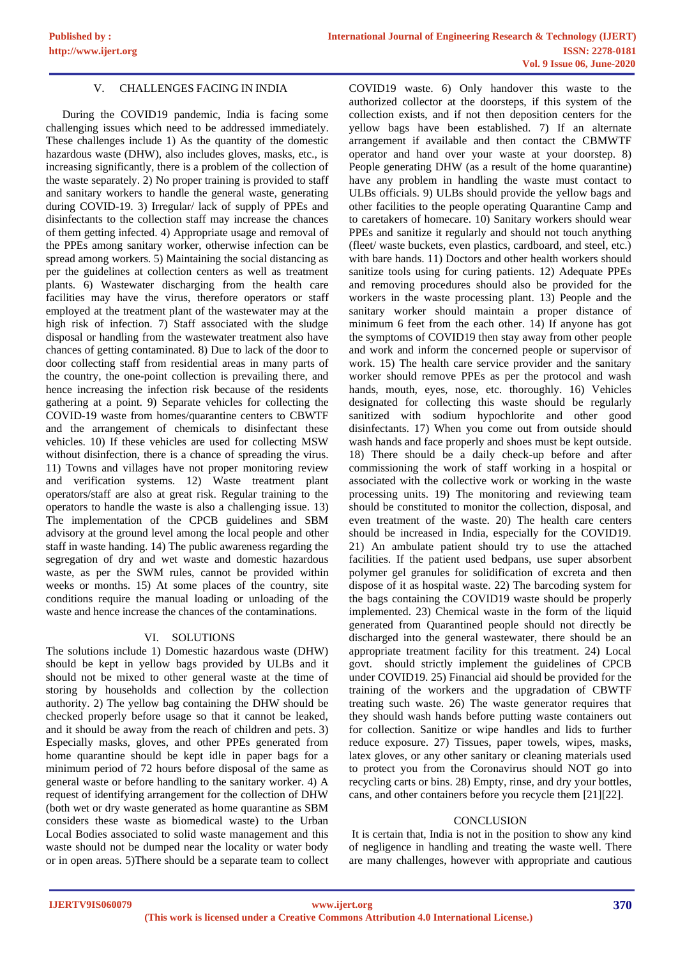## V. CHALLENGES FACING IN INDIA

During the COVID19 pandemic, India is facing some challenging issues which need to be addressed immediately. These challenges include 1) As the quantity of the domestic hazardous waste (DHW), also includes gloves, masks, etc., is increasing significantly, there is a problem of the collection of the waste separately. 2) No proper training is provided to staff and sanitary workers to handle the general waste, generating during COVID-19. 3) Irregular/ lack of supply of PPEs and disinfectants to the collection staff may increase the chances of them getting infected. 4) Appropriate usage and removal of the PPEs among sanitary worker, otherwise infection can be spread among workers. 5) Maintaining the social distancing as per the guidelines at collection centers as well as treatment plants. 6) Wastewater discharging from the health care facilities may have the virus, therefore operators or staff employed at the treatment plant of the wastewater may at the high risk of infection. 7) Staff associated with the sludge disposal or handling from the wastewater treatment also have chances of getting contaminated. 8) Due to lack of the door to door collecting staff from residential areas in many parts of the country, the one-point collection is prevailing there, and hence increasing the infection risk because of the residents gathering at a point. 9) Separate vehicles for collecting the COVID-19 waste from homes/quarantine centers to CBWTF and the arrangement of chemicals to disinfectant these vehicles. 10) If these vehicles are used for collecting MSW without disinfection, there is a chance of spreading the virus. 11) Towns and villages have not proper monitoring review and verification systems. 12) Waste treatment plant operators/staff are also at great risk. Regular training to the operators to handle the waste is also a challenging issue. 13) The implementation of the CPCB guidelines and SBM advisory at the ground level among the local people and other staff in waste handing. 14) The public awareness regarding the segregation of dry and wet waste and domestic hazardous waste, as per the SWM rules, cannot be provided within weeks or months. 15) At some places of the country, site conditions require the manual loading or unloading of the waste and hence increase the chances of the contaminations.

#### VI. SOLUTIONS

The solutions include 1) Domestic hazardous waste (DHW) should be kept in yellow bags provided by ULBs and it should not be mixed to other general waste at the time of storing by households and collection by the collection authority. 2) The yellow bag containing the DHW should be checked properly before usage so that it cannot be leaked, and it should be away from the reach of children and pets. 3) Especially masks, gloves, and other PPEs generated from home quarantine should be kept idle in paper bags for a minimum period of 72 hours before disposal of the same as general waste or before handling to the sanitary worker. 4) A request of identifying arrangement for the collection of DHW (both wet or dry waste generated as home quarantine as SBM considers these waste as biomedical waste) to the Urban Local Bodies associated to solid waste management and this waste should not be dumped near the locality or water body or in open areas. 5)There should be a separate team to collect COVID19 waste. 6) Only handover this waste to the authorized collector at the doorsteps, if this system of the collection exists, and if not then deposition centers for the yellow bags have been established. 7) If an alternate arrangement if available and then contact the CBMWTF operator and hand over your waste at your doorstep. 8) People generating DHW (as a result of the home quarantine) have any problem in handling the waste must contact to ULBs officials. 9) ULBs should provide the yellow bags and other facilities to the people operating Quarantine Camp and to caretakers of homecare. 10) Sanitary workers should wear PPEs and sanitize it regularly and should not touch anything (fleet/ waste buckets, even plastics, cardboard, and steel, etc.) with bare hands. 11) Doctors and other health workers should sanitize tools using for curing patients. 12) Adequate PPEs and removing procedures should also be provided for the workers in the waste processing plant. 13) People and the sanitary worker should maintain a proper distance of minimum 6 feet from the each other. 14) If anyone has got the symptoms of COVID19 then stay away from other people and work and inform the concerned people or supervisor of work. 15) The health care service provider and the sanitary worker should remove PPEs as per the protocol and wash hands, mouth, eyes, nose, etc. thoroughly. 16) Vehicles designated for collecting this waste should be regularly sanitized with sodium hypochlorite and other good disinfectants. 17) When you come out from outside should wash hands and face properly and shoes must be kept outside. 18) There should be a daily check-up before and after commissioning the work of staff working in a hospital or associated with the collective work or working in the waste processing units. 19) The monitoring and reviewing team should be constituted to monitor the collection, disposal, and even treatment of the waste. 20) The health care centers should be increased in India, especially for the COVID19. 21) An ambulate patient should try to use the attached facilities. If the patient used bedpans, use super absorbent polymer gel granules for solidification of excreta and then dispose of it as hospital waste. 22) The barcoding system for the bags containing the COVID19 waste should be properly implemented. 23) Chemical waste in the form of the liquid generated from Quarantined people should not directly be discharged into the general wastewater, there should be an appropriate treatment facility for this treatment. 24) Local govt. should strictly implement the guidelines of CPCB under COVID19. 25) Financial aid should be provided for the training of the workers and the upgradation of CBWTF treating such waste. 26) The waste generator requires that they should wash hands before putting waste containers out for collection. Sanitize or wipe handles and lids to further reduce exposure. 27) Tissues, paper towels, wipes, masks, latex gloves, or any other sanitary or cleaning materials used to protect you from the Coronavirus should NOT go into recycling carts or bins. 28) Empty, rinse, and dry your bottles, cans, and other containers before you recycle them [21][22].

#### **CONCLUSION**

It is certain that, India is not in the position to show any kind of negligence in handling and treating the waste well. There are many challenges, however with appropriate and cautious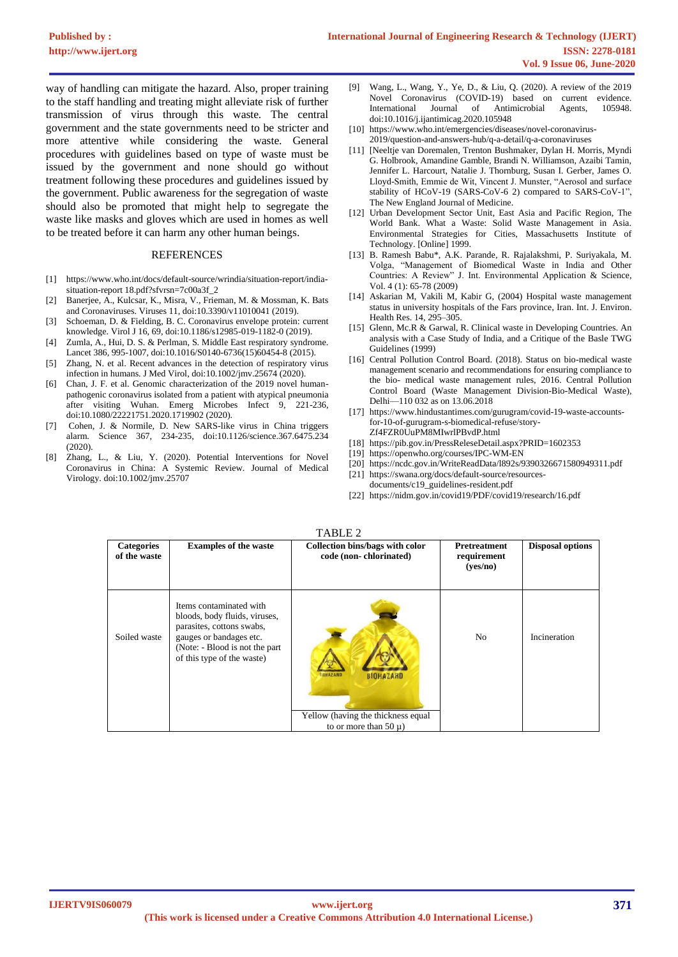way of handling can mitigate the hazard. Also, proper training to the staff handling and treating might alleviate risk of further transmission of virus through this waste. The central government and the state governments need to be stricter and more attentive while considering the waste. General procedures with guidelines based on type of waste must be issued by the government and none should go without treatment following these procedures and guidelines issued by the government. Public awareness for the segregation of waste should also be promoted that might help to segregate the waste like masks and gloves which are used in homes as well to be treated before it can harm any other human beings.

#### REFERENCES

- [1] https://www.who.int/docs/default-source/wrindia/situation-report/indiasituation-report 18.pdf?sfvrsn=7c00a3f\_2
- [2] Banerjee, A., Kulcsar, K., Misra, V., Frieman, M. & Mossman, K. Bats and Coronaviruses. Viruses 11, doi:10.3390/v11010041 (2019).
- [3] Schoeman, D. & Fielding, B. C. Coronavirus envelope protein: current knowledge. Virol J 16, 69, doi:10.1186/s12985-019-1182-0 (2019).
- [4] Zumla, A., Hui, D. S. & Perlman, S. Middle East respiratory syndrome. Lancet 386, 995-1007, doi:10.1016/S0140-6736(15)60454-8 (2015).
- [5] Zhang, N. et al. Recent advances in the detection of respiratory virus infection in humans. J Med Virol, doi:10.1002/jmv.25674 (2020).
- [6] Chan, J. F. et al. Genomic characterization of the 2019 novel humanpathogenic coronavirus isolated from a patient with atypical pneumonia after visiting Wuhan. Emerg Microbes Infect 9, 221-236, doi:10.1080/22221751.2020.1719902 (2020).
- [7] Cohen, J. & Normile, D. New SARS-like virus in China triggers alarm. Science 367, 234-235, doi:10.1126/science.367.6475.234 (2020).
- [8] Zhang, L., & Liu, Y. (2020). Potential Interventions for Novel Coronavirus in China: A Systemic Review. Journal of Medical Virology. doi:10.1002/jmv.25707
- [9] Wang, L., Wang, Y., Ye, D., & Liu, Q. (2020). A review of the 2019 Novel Coronavirus (COVID-19) based on current evidence. International Journal of Antimicrobial Agents, 105948. doi:10.1016/j.ijantimicag.2020.105948
- [10] https://www.who.int/emergencies/diseases/novel-coronavirus-2019/question-and-answers-hub/q-a-detail/q-a-coronaviruses
- [11] [Neeltje van Doremalen, Trenton Bushmaker, Dylan H. Morris, Myndi G. Holbrook, Amandine Gamble, Brandi N. Williamson, Azaibi Tamin, Jennifer L. Harcourt, Natalie J. Thornburg, Susan I. Gerber, James O. Lloyd-Smith, Emmie de Wit, Vincent J. Munster, "Aerosol and surface stability of HCoV-19 (SARS-CoV-6 2) compared to SARS-CoV-1", The New England Journal of Medicine.
- [12] Urban Development Sector Unit, East Asia and Pacific Region, The World Bank. What a Waste: Solid Waste Management in Asia. Environmental Strategies for Cities, Massachusetts Institute of Technology. [Online] 1999.
- [13] B. Ramesh Babu\*, A.K. Parande, R. Rajalakshmi, P. Suriyakala, M. Volga, "Management of Biomedical Waste in India and Other Countries: A Review" J. Int. Environmental Application & Science, Vol. 4 (1): 65-78 (2009)
- [14] Askarian M, Vakili M, Kabir G, (2004) Hospital waste management status in university hospitals of the Fars province, Iran. Int. J. Environ. Health Res. 14, 295–305.
- [15] Glenn, Mc.R & Garwal, R. Clinical waste in Developing Countries. An analysis with a Case Study of India, and a Critique of the Basle TWG Guidelines (1999)
- [16] Central Pollution Control Board. (2018). Status on bio-medical waste management scenario and recommendations for ensuring compliance to the bio- medical waste management rules, 2016. Central Pollution Control Board (Waste Management Division-Bio-Medical Waste), Delhi—110 032 as on 13.06.2018
- [17] https://www.hindustantimes.com/gurugram/covid-19-waste-accountsfor-10-of-gurugram-s-biomedical-refuse/story-Zf4FZR0UuPM8MIwrlPBvdP.html
- [18] https://pib.gov.in/PressReleseDetail.aspx?PRID=1602353
- [19] https://openwho.org/courses/IPC-WM-EN
- [20] https://ncdc.gov.in/WriteReadData/l892s/9390326671580949311.pdf
- [21] https://swana.org/docs/default-source/resources-
- documents/c19\_guidelines-resident.pdf
- [22] https://nidm.gov.in/covid19/PDF/covid19/research/16.pdf

| <b>Categories</b><br>of the waste | <b>Examples of the waste</b>                                                                                                                                                      | Collection bins/bags with color<br>code (non-chlorinated)        | <b>Pretreatment</b><br>requirement<br>(yes/no) | <b>Disposal options</b> |
|-----------------------------------|-----------------------------------------------------------------------------------------------------------------------------------------------------------------------------------|------------------------------------------------------------------|------------------------------------------------|-------------------------|
| Soiled waste                      | Items contaminated with<br>bloods, body fluids, viruses,<br>parasites, cottons swabs,<br>gauges or bandages etc.<br>(Note: - Blood is not the part)<br>of this type of the waste) | <b>BIOHAZARD</b><br><b>BIOHAZARD</b>                             | N <sub>0</sub>                                 | <b>Incineration</b>     |
|                                   |                                                                                                                                                                                   | Yellow (having the thickness equal<br>to or more than 50 $\mu$ ) |                                                |                         |

TABLE 2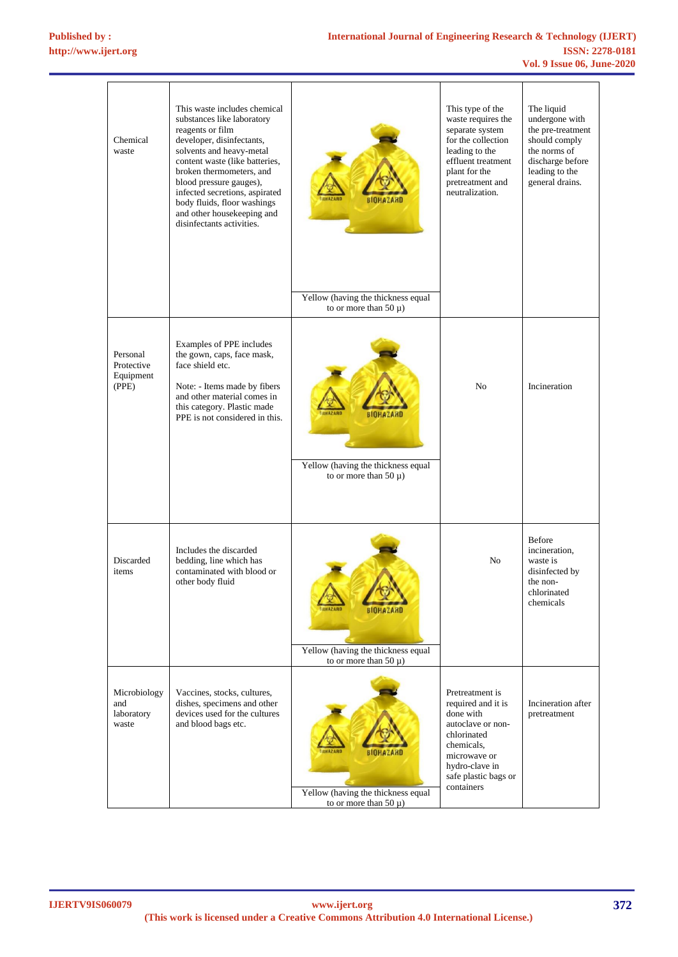| Chemical<br>waste                            | This waste includes chemical<br>substances like laboratory<br>reagents or film<br>developer, disinfectants,<br>solvents and heavy-metal<br>content waste (like batteries,<br>broken thermometers, and<br>blood pressure gauges),<br>infected secretions, aspirated<br>body fluids, floor washings<br>and other housekeeping and<br>disinfectants activities. | RINHAZARI                                                                            | This type of the<br>waste requires the<br>separate system<br>for the collection<br>leading to the<br>effluent treatment<br>plant for the<br>pretreatment and<br>neutralization. | The liquid<br>undergone with<br>the pre-treatment<br>should comply<br>the norms of<br>discharge before<br>leading to the<br>general drains. |
|----------------------------------------------|--------------------------------------------------------------------------------------------------------------------------------------------------------------------------------------------------------------------------------------------------------------------------------------------------------------------------------------------------------------|--------------------------------------------------------------------------------------|---------------------------------------------------------------------------------------------------------------------------------------------------------------------------------|---------------------------------------------------------------------------------------------------------------------------------------------|
|                                              |                                                                                                                                                                                                                                                                                                                                                              | Yellow (having the thickness equal<br>to or more than 50 $\mu$ )                     |                                                                                                                                                                                 |                                                                                                                                             |
| Personal<br>Protective<br>Equipment<br>(PPE) | Examples of PPE includes<br>the gown, caps, face mask,<br>face shield etc.<br>Note: - Items made by fibers<br>and other material comes in<br>this category. Plastic made<br>PPE is not considered in this.                                                                                                                                                   | <b>BIOHAZARD</b><br>Yellow (having the thickness equal<br>to or more than 50 $\mu$ ) | N <sub>o</sub>                                                                                                                                                                  | Incineration                                                                                                                                |
| Discarded<br>items                           | Includes the discarded<br>bedding, line which has<br>contaminated with blood or<br>other body fluid                                                                                                                                                                                                                                                          | <b>BIOHAZARD</b><br>Yellow (having the thickness equal<br>to or more than 50 $\mu$ ) | No                                                                                                                                                                              | Before<br>incineration,<br>waste is<br>disinfected by<br>the non-<br>chlorinated<br>chemicals                                               |
| Microbiology<br>and<br>laboratory<br>waste   | Vaccines, stocks, cultures,<br>dishes, specimens and other<br>devices used for the cultures<br>and blood bags etc.                                                                                                                                                                                                                                           | <b>BIOHAZARD</b><br>Yellow (having the thickness equal<br>to or more than 50 $\mu$ ) | Pretreatment is<br>required and it is<br>done with<br>autoclave or non-<br>chlorinated<br>chemicals,<br>microwave or<br>hydro-clave in<br>safe plastic bags or<br>containers    | Incineration after<br>pretreatment                                                                                                          |